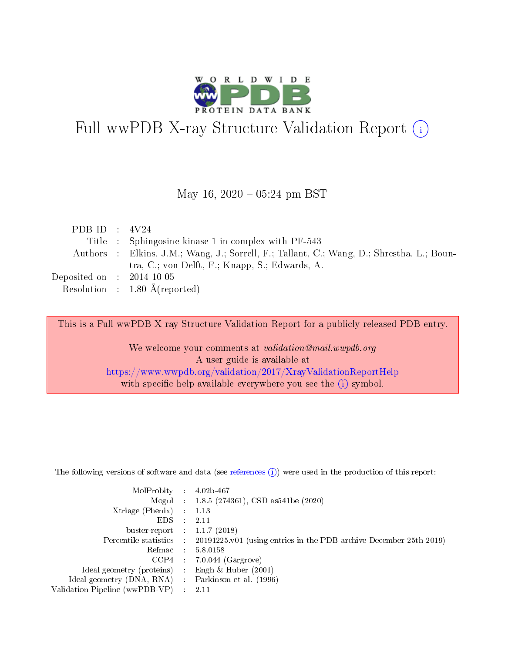

# Full wwPDB X-ray Structure Validation Report (i)

May 16,  $2020 - 05:24$  pm BST

| PDB ID : $4V24$             |                                                                                           |
|-----------------------------|-------------------------------------------------------------------------------------------|
|                             | Title : Sphingosine kinase 1 in complex with PF-543                                       |
|                             | Authors : Elkins, J.M.; Wang, J.; Sorrell, F.; Tallant, C.; Wang, D.; Shrestha, L.; Boun- |
|                             | tra, C.; von Delft, F.; Knapp, S.; Edwards, A.                                            |
| Deposited on : $2014-10-05$ |                                                                                           |
|                             | Resolution : $1.80 \text{ Å}$ (reported)                                                  |

This is a Full wwPDB X-ray Structure Validation Report for a publicly released PDB entry.

We welcome your comments at validation@mail.wwpdb.org A user guide is available at <https://www.wwpdb.org/validation/2017/XrayValidationReportHelp> with specific help available everywhere you see the  $(i)$  symbol.

The following versions of software and data (see [references](https://www.wwpdb.org/validation/2017/XrayValidationReportHelp#references)  $(1)$ ) were used in the production of this report:

| MolProbity                     | $\mathcal{L}_{\rm{max}}$ | $4.02b - 467$                                                                |
|--------------------------------|--------------------------|------------------------------------------------------------------------------|
|                                |                          | Mogul : $1.8.5$ (274361), CSD as 541be (2020)                                |
| $X$ triage (Phenix) :          |                          | 1.13                                                                         |
| EDS.                           |                          | 2.11                                                                         |
| buster-report : $1.1.7$ (2018) |                          |                                                                              |
| Percentile statistics :        |                          | $20191225 \text{ v}01$ (using entries in the PDB archive December 25th 2019) |
| Refmac                         |                          | 5.8.0158                                                                     |
| $CCP4$ :                       |                          | $7.0.044$ (Gargrove)                                                         |
| Ideal geometry (proteins) :    |                          | Engh $\&$ Huber (2001)                                                       |
| Ideal geometry (DNA, RNA) :    |                          | Parkinson et al. (1996)                                                      |
| Validation Pipeline (wwPDB-VP) | $\mathcal{L}$            | -2.11                                                                        |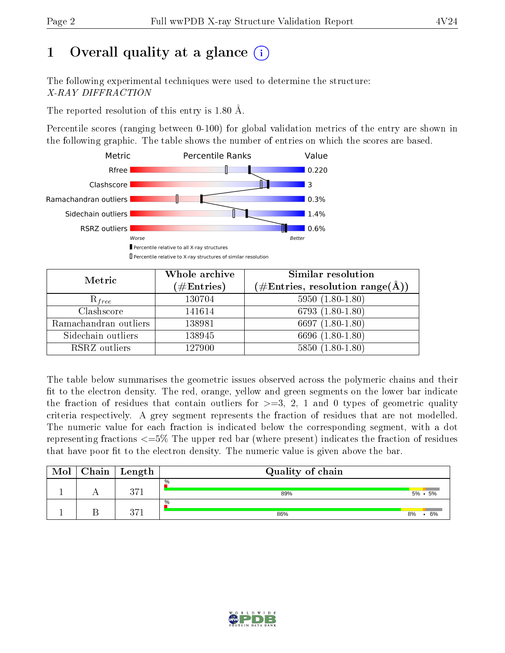# 1 [O](https://www.wwpdb.org/validation/2017/XrayValidationReportHelp#overall_quality)verall quality at a glance  $(i)$

The following experimental techniques were used to determine the structure: X-RAY DIFFRACTION

The reported resolution of this entry is 1.80 Å.

Percentile scores (ranging between 0-100) for global validation metrics of the entry are shown in the following graphic. The table shows the number of entries on which the scores are based.



| Metric                | Whole archive<br>$(\#\text{Entries})$ | Similar resolution<br>$(\# \text{Entries}, \text{resolution range}(\text{\AA}))$ |
|-----------------------|---------------------------------------|----------------------------------------------------------------------------------|
| $R_{free}$            | 130704                                | $5950(1.80-1.80)$                                                                |
| Clashscore            | 141614                                | 6793 $(1.80-1.80)$                                                               |
| Ramachandran outliers | 138981                                | 6697 $(1.80-1.80)$                                                               |
| Sidechain outliers    | 138945                                | 6696 (1.80-1.80)                                                                 |
| RSRZ outliers         | 127900                                | $5850(1.80-1.80)$                                                                |

The table below summarises the geometric issues observed across the polymeric chains and their fit to the electron density. The red, orange, yellow and green segments on the lower bar indicate the fraction of residues that contain outliers for  $>=3, 2, 1$  and 0 types of geometric quality criteria respectively. A grey segment represents the fraction of residues that are not modelled. The numeric value for each fraction is indicated below the corresponding segment, with a dot representing fractions  $\epsilon=5\%$  The upper red bar (where present) indicates the fraction of residues that have poor fit to the electron density. The numeric value is given above the bar.

| Mol | $Chain \  Length$ | Quality of chain |    |                 |
|-----|-------------------|------------------|----|-----------------|
|     | $9 - 1$           | $\%$<br>89%      |    | $5\% \cdot 5\%$ |
|     | 0.71              | $\%$<br>86%      | 8% | 6%              |

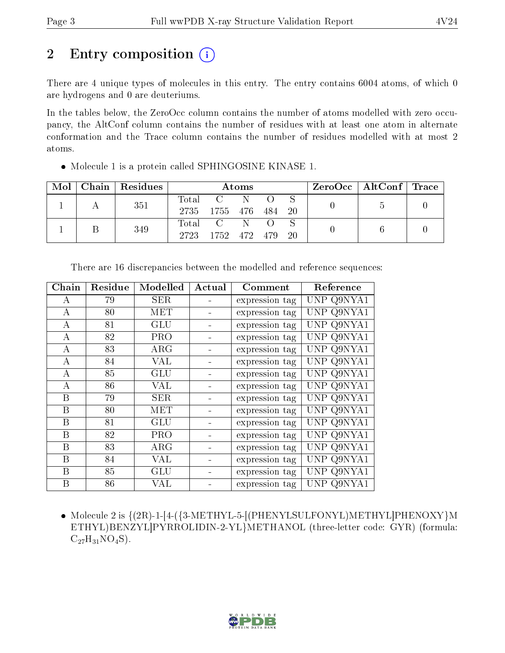# 2 Entry composition  $\left( \cdot \right)$

There are 4 unique types of molecules in this entry. The entry contains 6004 atoms, of which 0 are hydrogens and 0 are deuteriums.

In the tables below, the ZeroOcc column contains the number of atoms modelled with zero occupancy, the AltConf column contains the number of residues with at least one atom in alternate conformation and the Trace column contains the number of residues modelled with at most 2 atoms.

| Mol | Chain Residues | Atoms               |                 |    |  | ZeroOcc   AltConf   Trace |  |  |
|-----|----------------|---------------------|-----------------|----|--|---------------------------|--|--|
|     | 351            | $\rm Total$<br>2735 | 1755 476 484 20 | N. |  |                           |  |  |
|     | 349            | Total<br>2723       | 1752 472 479    |    |  | -20                       |  |  |

Molecule 1 is a protein called SPHINGOSINE KINASE 1.

| ${\bf Chain}$    | Residue | Modelled   | Actual | Comment        | Reference  |
|------------------|---------|------------|--------|----------------|------------|
| А                | 79      | <b>SER</b> |        | expression tag | UNP Q9NYA1 |
| $\bf{A}$         | 80      | MET        |        | expression tag | UNP Q9NYA1 |
| A                | 81      | <b>GLU</b> |        | expression tag | UNP Q9NYA1 |
| А                | 82      | <b>PRO</b> |        | expression tag | UNP Q9NYA1 |
| A                | 83      | $\rm{ARG}$ |        | expression tag | UNP Q9NYA1 |
| A                | 84      | <b>VAL</b> |        | expression tag | UNP Q9NYA1 |
| A                | 85      | <b>GLU</b> |        | expression tag | UNP Q9NYA1 |
| A                | 86      | VAL        |        | expression tag | UNP Q9NYA1 |
| B                | 79      | <b>SER</b> |        | expression tag | UNP Q9NYA1 |
| $\boldsymbol{B}$ | 80      | MET        |        | expression tag | UNP Q9NYA1 |
| B                | 81      | <b>GLU</b> |        | expression tag | UNP Q9NYA1 |
| B                | 82      | <b>PRO</b> |        | expression tag | UNP Q9NYA1 |
| $\boldsymbol{B}$ | 83      | ARG        |        | expression tag | UNP Q9NYA1 |
| B                | 84      | VAL        |        | expression tag | UNP Q9NYA1 |
| B                | 85      | GLU        |        | expression tag | UNP Q9NYA1 |
| B                | 86      | VAL        |        | expression tag | UNP Q9NYA1 |

There are 16 discrepancies between the modelled and reference sequences:

 $\bullet$  Molecule 2 is  $\{(2R)-1-[4-(3-METHYL-5-[(PHENYLSULEONYL)METHYL]PHENOXY\}M$ ETHYL)BENZYL]PYRROLIDIN-2-YL}METHANOL (three-letter code: GYR) (formula:  $C_{27}H_{31}NO_4S$ .

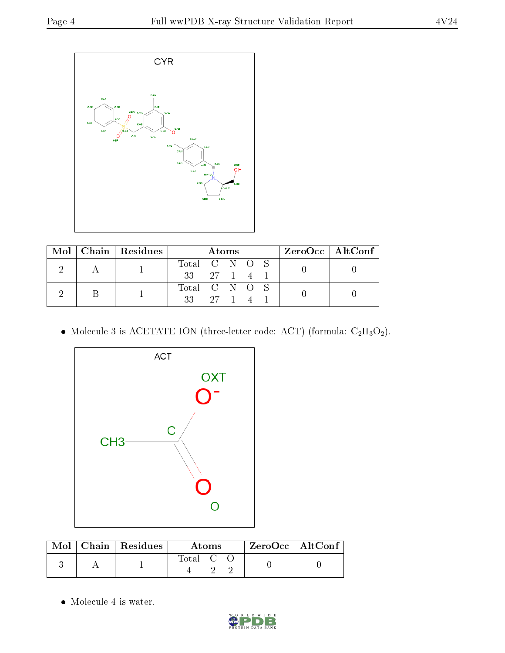

|  |  | Mol   Chain   Residues | Atoms                |               |  |  | $ZeroOcc \   \ AltConf \  $ |  |  |
|--|--|------------------------|----------------------|---------------|--|--|-----------------------------|--|--|
|  |  |                        | Total C N O S        |               |  |  |                             |  |  |
|  |  | $33 \t 27 \t 1 \t 4$   |                      |               |  |  |                             |  |  |
|  |  |                        |                      | Total C N O S |  |  |                             |  |  |
|  |  |                        | $33 \t 27 \t 1 \t 4$ |               |  |  |                             |  |  |

 $\bullet$  Molecule 3 is ACETATE ION (three-letter code: ACT) (formula:  $\rm{C_2H_3O_2}).$ 



|  | $\text{Mol}$   Chain   Residues | Atoms     | ZeroOcc   AltConf |
|--|---------------------------------|-----------|-------------------|
|  |                                 | Total C C |                   |

• Molecule 4 is water.

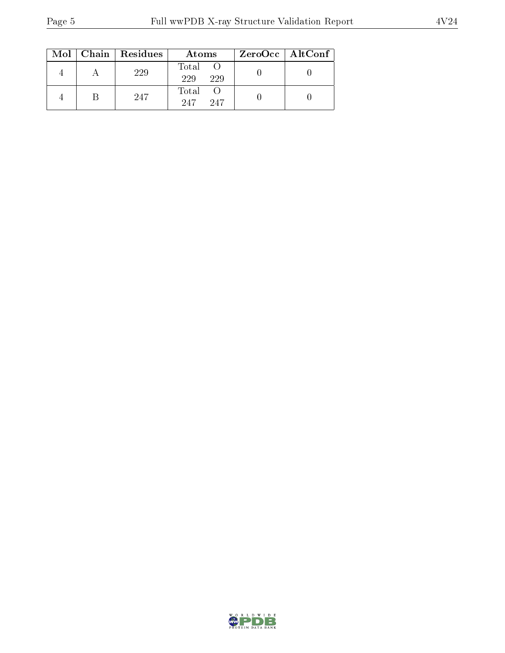|  | Mol   Chain   Residues | Atoms               | $ZeroOcc \mid AltConf$ |
|--|------------------------|---------------------|------------------------|
|  | 229                    | Total<br>229<br>229 |                        |
|  | 247                    | Total<br>247<br>247 |                        |

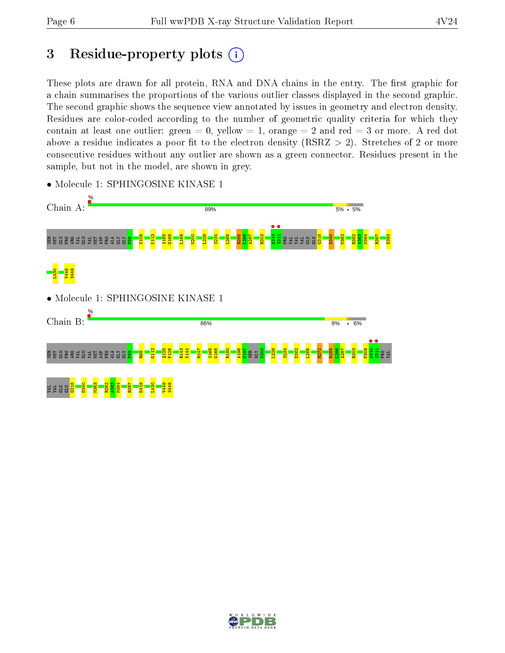# 3 Residue-property plots  $(i)$

These plots are drawn for all protein, RNA and DNA chains in the entry. The first graphic for a chain summarises the proportions of the various outlier classes displayed in the second graphic. The second graphic shows the sequence view annotated by issues in geometry and electron density. Residues are color-coded according to the number of geometric quality criteria for which they contain at least one outlier: green  $= 0$ , yellow  $= 1$ , orange  $= 2$  and red  $= 3$  or more. A red dot above a residue indicates a poor fit to the electron density (RSRZ  $> 2$ ). Stretches of 2 or more consecutive residues without any outlier are shown as a green connector. Residues present in the sample, but not in the model, are shown in grey.



• Molecule 1: SPHINGOSINE KINASE 1

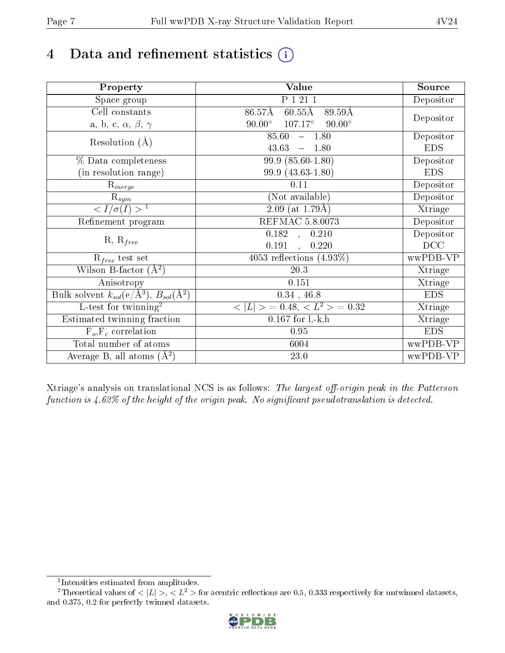# 4 Data and refinement statistics  $(i)$

| Property                                                             | Value                                              | Source     |
|----------------------------------------------------------------------|----------------------------------------------------|------------|
| Space group                                                          | P 1 21 1                                           | Depositor  |
| Cell constants                                                       | $86.57\text{\AA}$<br>$60.55\text{\AA}$<br>89.59Å   |            |
| a, b, c, $\alpha$ , $\beta$ , $\gamma$                               | $90.00^\circ$<br>$107.17^{\circ}$<br>$90.00^\circ$ | Depositor  |
| Resolution $(A)$                                                     | 85.60<br>$-1.80$                                   | Depositor  |
|                                                                      | 43.63<br>$-1.80$                                   | <b>EDS</b> |
| % Data completeness                                                  | 99.9 (85.60-1.80)                                  | Depositor  |
| (in resolution range)                                                | 99.9 (43.63-1.80)                                  | <b>EDS</b> |
| $R_{merge}$                                                          | 0.11                                               | Depositor  |
| $\mathrm{R}_{sym}$                                                   | (Not available)                                    | Depositor  |
| $\sqrt{I/\sigma}(I) > 1$                                             | 2.09 (at $1.79\text{\AA}$ )                        | Xtriage    |
| Refinement program                                                   | REFMAC 5.8.0073                                    | Depositor  |
|                                                                      | $\overline{0.182}$ ,<br>0.210                      | Depositor  |
| $R, R_{free}$                                                        | 0.191<br>0.220                                     | DCC        |
| $R_{free}$ test set                                                  | $405\overline{3}$ reflections $(4.93\%)$           | wwPDB-VP   |
| Wilson B-factor $(A^2)$                                              | 20.3                                               | Xtriage    |
| Anisotropy                                                           | 0.151                                              | Xtriage    |
| Bulk solvent $k_{sol}(e/\mathring{A}^3)$ , $B_{sol}(\mathring{A}^2)$ | $0.34$ , 46.8                                      | <b>EDS</b> |
| L-test for twinning <sup>2</sup>                                     | $  > 0.48, < L^2 > 0.32$<br>< L                    | Xtriage    |
| Estimated twinning fraction                                          | $0.167$ for $1, -k, h$                             | Xtriage    |
| $F_o, F_c$ correlation                                               | 0.95                                               | <b>EDS</b> |
| Total number of atoms                                                | 6004                                               | wwPDB-VP   |
| Average B, all atoms $(A^2)$                                         | $23.0\,$                                           | wwPDB-VP   |

Xtriage's analysis on translational NCS is as follows: The largest off-origin peak in the Patterson function is  $4.62\%$  of the height of the origin peak. No significant pseudotranslation is detected.

<sup>&</sup>lt;sup>2</sup>Theoretical values of  $\langle |L| \rangle$ ,  $\langle L^2 \rangle$  for acentric reflections are 0.5, 0.333 respectively for untwinned datasets, and 0.375, 0.2 for perfectly twinned datasets.



<span id="page-6-1"></span><span id="page-6-0"></span><sup>1</sup> Intensities estimated from amplitudes.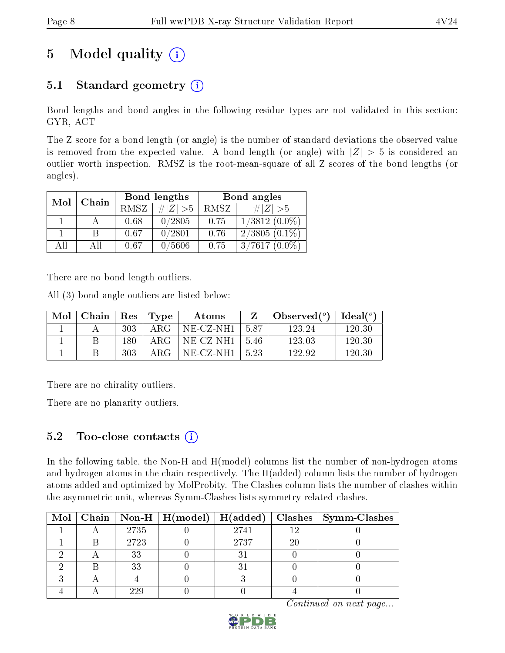# 5 Model quality  $(i)$

## 5.1 Standard geometry  $(i)$

Bond lengths and bond angles in the following residue types are not validated in this section: GYR, ACT

The Z score for a bond length (or angle) is the number of standard deviations the observed value is removed from the expected value. A bond length (or angle) with  $|Z| > 5$  is considered an outlier worth inspection. RMSZ is the root-mean-square of all Z scores of the bond lengths (or angles).

| Mol | Chain |             | Bond lengths | Bond angles |                 |  |
|-----|-------|-------------|--------------|-------------|-----------------|--|
|     |       | <b>RMSZ</b> | $\# Z  > 5$  | RMSZ        | # $ Z  > 5$     |  |
|     |       | 0.68        | 0/2805       | 0.75        | $1/3812(0.0\%)$ |  |
|     | B     | 0.67        | 0/2801       | 0.76        | $2/3805(0.1\%)$ |  |
| AĦ  | АH    | 0.67        | 0/5606       | 0.75        | $3/7617(0.0\%)$ |  |

There are no bond length outliers.

All (3) bond angle outliers are listed below:

| Mol | $\mid$ Chain $\mid$ Res $\mid$ Type |      |              | Atoms                      |      | Observed $(^\circ)$   Ideal $(^\circ)$ |        |
|-----|-------------------------------------|------|--------------|----------------------------|------|----------------------------------------|--------|
|     |                                     | 303- | ARG          | NE-CZ-NH1                  | -587 | 123 24                                 | 120.30 |
|     |                                     | 180. | A R G        | $N_{\rm E- CZ-NH1}$   5.46 |      | 123.03                                 | 120.30 |
|     |                                     | 303  | $\rm{ARG}^-$ | NE-CZ-NH1   5.23           |      | 122.92                                 | 120.30 |

There are no chirality outliers.

There are no planarity outliers.

### 5.2 Too-close contacts  $(i)$

In the following table, the Non-H and H(model) columns list the number of non-hydrogen atoms and hydrogen atoms in the chain respectively. The H(added) column lists the number of hydrogen atoms added and optimized by MolProbity. The Clashes column lists the number of clashes within the asymmetric unit, whereas Symm-Clashes lists symmetry related clashes.

|  |      |      |    | Mol   Chain   Non-H   H(model)   H(added)   Clashes   Symm-Clashes |
|--|------|------|----|--------------------------------------------------------------------|
|  | 2735 | 2741 |    |                                                                    |
|  | 2723 | 2737 | 20 |                                                                    |
|  | 33   |      |    |                                                                    |
|  | 33   |      |    |                                                                    |
|  |      |      |    |                                                                    |
|  | 229  |      |    |                                                                    |

Continued on next page...

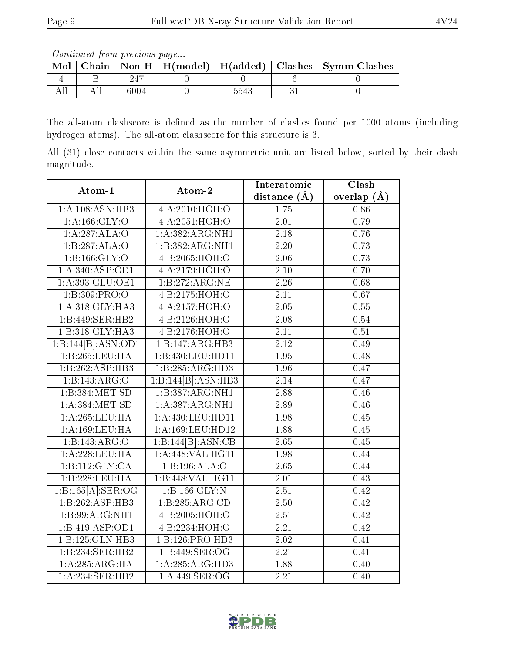Continued from previous page...

| Mol |  |  | Chain   Non-H   H(model)   H(added)   Clashes   Symm-Clashes |  |
|-----|--|--|--------------------------------------------------------------|--|
|     |  |  |                                                              |  |
|     |  |  |                                                              |  |

The all-atom clashscore is defined as the number of clashes found per 1000 atoms (including hydrogen atoms). The all-atom clashscore for this structure is 3.

All (31) close contacts within the same asymmetric unit are listed below, sorted by their clash magnitude.

| Atom-1             | Atom-2                             | Interatomic       | Clash             |
|--------------------|------------------------------------|-------------------|-------------------|
|                    |                                    | distance $(A)$    | overlap $(A)$     |
| 1:A:108:ASN:HB3    | 4:A:2010:HOH:O                     | 1.75              | 0.86              |
| 1: A: 166: GLY: O  | 4:A:2051:HOH:O                     | 2.01              | 0.79              |
| 1:A:287:ALA:O      | 1: A: 382: ARG: NH1                | $\overline{2.18}$ | 0.76              |
| 1:B:287:ALA:O      | 1:B:382:ARG:NH1                    | 2.20              | 0.73              |
| 1: B: 166: GLY: O  | 4:B:2065:HOH:O                     | 2.06              | 0.73              |
| 1: A:340: ASP:OD1  | 4: A: 2179: HOH:O                  | 2.10              | 0.70              |
| 1: A:393: GLU:OE1  | $1:B:272:\overline{\text{ARG:NE}}$ | 2.26              | 0.68              |
| 1:B:309:PRO:O      | 4:B:2175:HOH:O                     | $\overline{2.11}$ | 0.67              |
| 1:A:318:GLY:HA3    | 4:A:2157:HOH:O                     | 2.05              | 0.55              |
| 1:B:449:SER:HB2    | 4: B:2126: HOH:O                   | $\overline{2.08}$ | 0.54              |
| 1:B:318:GLY:HA3    | 4:B:2176:HOH:O                     | 2.11              | 0.51              |
| 1:B:144[B]:ASN:OD1 | 1:B:147:ARG:HB3                    | $\overline{2.12}$ | 0.49              |
| 1:B:265:LEU:HA     | 1:B:430:LEU:HD11                   | 1.95              | 0.48              |
| 1:B:262:ASP:HB3    | 1:B:285:ARG:HD3                    | 1.96              | 0.47              |
| 1:B:143:ARG:O      | 1:B:144[B]:ASN:HB3                 | $\overline{2.14}$ | 0.47              |
| 1: B: 384: MET: SD | 1:B:387:ARG:NH1                    | 2.88              | 0.46              |
| 1: A: 384: MET: SD | 1: A: 387: ARG: NH1                | 2.89              | 0.46              |
| 1: A:265:LEU:HA    | 1:A:430:LEU:HD11                   | 1.98              | 0.45              |
| 1:A:169:LEU:HA     | 1:A:169:LEU:HD12                   | 1.88              | 0.45              |
| 1:B:143:ARG:O      | 1:B:144[B]:ASN:CB                  | $\overline{2.65}$ | 0.45              |
| 1:A:228:LEU:HA     | 1:A:448:VAL:HG11                   | 1.98              | 0.44              |
| 1:Bi:112:GLY:CA    | 1: B: 196: ALA: O                  | 2.65              | 0.44              |
| 1:B:228:LEU:HA     | 1:B:448:VAL:HG11                   | 2.01              | 0.43              |
| 1:B:165[A]:SER:OG  | 1:B:166:GLY:N                      | $\overline{2.51}$ | 0.42              |
| 1:B:262:ASP:HB3    | 1:B:285:ARG:CD                     | $\overline{2.50}$ | 0.42              |
| 1:B:99:ARG:NH1     | 4:B:2005:HOH:O                     | 2.51              | 0.42              |
| 1:B:419:ASP:OD1    | 4:B:2234:HOH:O                     | $\overline{2.21}$ | $\overline{0.42}$ |
| 1:B:125:GLN:HB3    | 1:B:126:PRO:HD3                    | 2.02              | 0.41              |
| 1:B:234:SER:HB2    | 1:B:449:SER:OG                     | 2.21              | 0.41              |
| 1: A:285: ARG: HA  | 1:A:285:ARG:HD3                    | 1.88              | 0.40              |
| 1:A:234:SER:HB2    | 1: A:449: SER:OG                   | $\overline{2.21}$ | 0.40              |

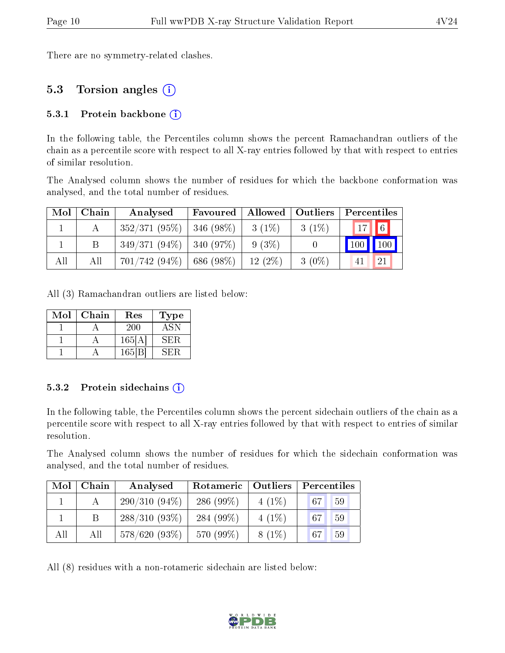There are no symmetry-related clashes.

## 5.3 Torsion angles (i)

#### 5.3.1 Protein backbone  $(i)$

In the following table, the Percentiles column shows the percent Ramachandran outliers of the chain as a percentile score with respect to all X-ray entries followed by that with respect to entries of similar resolution.

The Analysed column shows the number of residues for which the backbone conformation was analysed, and the total number of residues.

| Mol | Chain | Analysed                     | Allowed   Outliers<br>Favoured |           |          | Percentiles   |    |
|-----|-------|------------------------------|--------------------------------|-----------|----------|---------------|----|
|     |       | 352/371(95%)                 | $ 346(98\%)$                   | $3(1\%)$  | $3(1\%)$ | $17$ 6        |    |
|     |       | $349/371(94\%)$   340 (97\%) |                                | 9 (3%)    |          | $100$   $100$ |    |
| All | All   | $701/742(94\%)$              | 686(98%)                       | $12(2\%)$ | $3(0\%)$ |               | 21 |

All (3) Ramachandran outliers are listed below:

| Mol | Chain | $\operatorname{Res}% \left( \mathcal{N}\right) \equiv\operatorname{Res}(\mathcal{N}_{0},\mathcal{N}_{0})$ | Type' |  |
|-----|-------|-----------------------------------------------------------------------------------------------------------|-------|--|
|     |       | <b>200</b>                                                                                                | ASN   |  |
|     |       | 165[A]                                                                                                    | SER.  |  |
|     |       | 165 B                                                                                                     | кн: Н |  |

#### 5.3.2 Protein sidechains  $(i)$

In the following table, the Percentiles column shows the percent sidechain outliers of the chain as a percentile score with respect to all X-ray entries followed by that with respect to entries of similar resolution.

The Analysed column shows the number of residues for which the sidechain conformation was analysed, and the total number of residues.

| Mol | Chain | Analysed        | Rotameric    | Outliers | Percentiles |    |  |
|-----|-------|-----------------|--------------|----------|-------------|----|--|
|     |       | $290/310(94\%)$ | 286 $(99\%)$ | $4(1\%)$ | 67          | 59 |  |
|     |       | $288/310(93\%)$ | 284 $(99\%)$ | $4(1\%)$ | 67          | 59 |  |
| All | All   | $578/620(93\%)$ | 570 (99%)    | $8(1\%)$ | 67          | 59 |  |

All (8) residues with a non-rotameric sidechain are listed below:

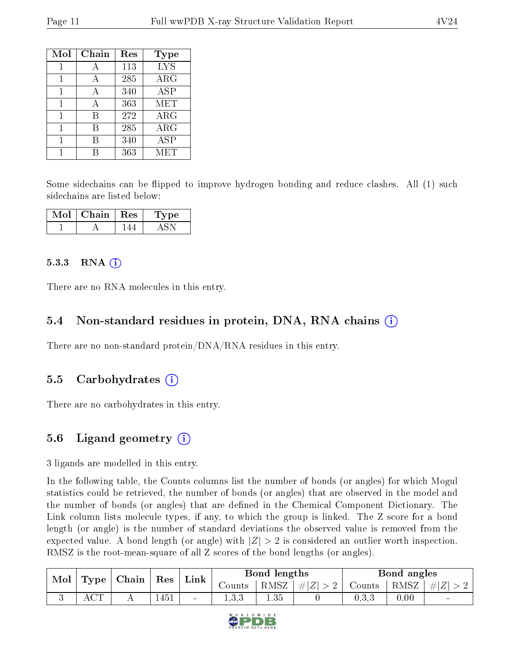| Mol | Chain | Res | Type       |
|-----|-------|-----|------------|
| 1   |       | 113 | <b>LYS</b> |
| 1   | А     | 285 | ARG        |
| 1   | А     | 340 | <b>ASP</b> |
| 1   | А     | 363 | MET        |
| 1   | В     | 272 | $\rm{ARG}$ |
| 1   | В     | 285 | ARG        |
| 1   | В     | 340 | ASP        |
|     |       | 363 | MET        |

Some sidechains can be flipped to improve hydrogen bonding and reduce clashes. All (1) such sidechains are listed below:

| VIol | Chain   Res | рe |  |
|------|-------------|----|--|
|      |             |    |  |

#### $5.3.3$  RNA  $(i)$

There are no RNA molecules in this entry.

#### 5.4 Non-standard residues in protein, DNA, RNA chains (i)

There are no non-standard protein/DNA/RNA residues in this entry.

#### 5.5 Carbohydrates  $(i)$

There are no carbohydrates in this entry.

### 5.6 Ligand geometry  $(i)$

3 ligands are modelled in this entry.

In the following table, the Counts columns list the number of bonds (or angles) for which Mogul statistics could be retrieved, the number of bonds (or angles) that are observed in the model and the number of bonds (or angles) that are defined in the Chemical Component Dictionary. The Link column lists molecule types, if any, to which the group is linked. The Z score for a bond length (or angle) is the number of standard deviations the observed value is removed from the expected value. A bond length (or angle) with  $|Z| > 2$  is considered an outlier worth inspection. RMSZ is the root-mean-square of all Z scores of the bond lengths (or angles).

| Mol | Type | Chain | Res  | Link   | Bond lengths    |          |                        | Bond angles |          |                          |
|-----|------|-------|------|--------|-----------------|----------|------------------------|-------------|----------|--------------------------|
|     |      |       |      |        | Counts          | RMSZ     | . $\# Z^{\perp} $<br>↵ | Counts      | RMSZ     | $\# Z'$                  |
|     |      |       | 1451 | $\sim$ | . റ. റ<br>1.0.0 | $1.35 -$ |                        | $\rm 0.3.3$ | $0.00\,$ | $\overline{\phantom{a}}$ |

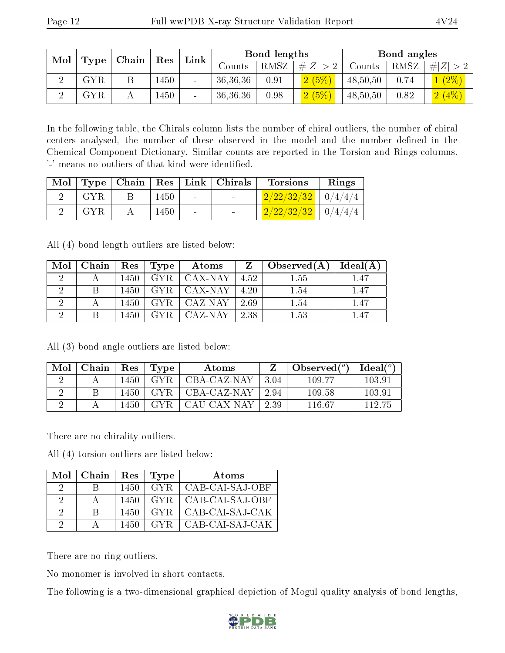| Mol | Type        | Chain | Res  | Link   | Bond lengths |      |             | Bond angles |      |         |
|-----|-------------|-------|------|--------|--------------|------|-------------|-------------|------|---------|
|     |             |       |      |        | Counts       | RMSZ | # $ Z  > 2$ | Counts      | RMSZ | # Z     |
|     | ${\rm GYR}$ |       | 1450 |        | 36,36,36     | 0.91 | 2(5%)       | 48,50,50    | 0.74 | $(2\%)$ |
|     | GYR         |       | 1450 | $\sim$ | 36,36,36     | 0.98 | 2(5%)       | 48,50,50    | 0.82 | 2(4%)   |

In the following table, the Chirals column lists the number of chiral outliers, the number of chiral centers analysed, the number of these observed in the model and the number defined in the Chemical Component Dictionary. Similar counts are reported in the Torsion and Rings columns. '-' means no outliers of that kind were identified.

|      |    |      |        | Mol   Type   Chain   Res   Link   Chirals | Torsions                 | Rings |
|------|----|------|--------|-------------------------------------------|--------------------------|-------|
| GYR. | B. | 1450 | $\sim$ | <b>Contract Contract</b>                  | $2/22/32/32$   0/4/4/4   |       |
| GYR. |    | 1450 |        |                                           | $2/22/32/32$   $0/4/4/4$ |       |

All (4) bond length outliers are listed below:

| Mol | Chain | Res  | Type       | Atoms    | Z    | Observed(A) | Ideal(A) |
|-----|-------|------|------------|----------|------|-------------|----------|
|     |       | 1450 | GYR.       | CAX-NAY  | 4.52 | 1.55        | 1.47     |
|     |       | 1450 | GYR.       | ∟CAX-NAY | 4.20 | 1.54        | 1.47     |
|     |       | 1450 | <b>GYR</b> | CAZ-NAY  | 2.69 | 1.54        | 1.47     |
|     |       | 1450 |            | CAZ-NAY  | 2.38 | 1.53        | 1 47     |

All (3) bond angle outliers are listed below:

| Mol | Chain | Res   | Type | Atoms        |       | Observed $(°)$ | Ideal (°) |
|-----|-------|-------|------|--------------|-------|----------------|-----------|
|     |       | 1450  | GYR. | CBA-CAZ-NAY  | -3.04 | 109.77         | 103.91    |
|     |       | 1450. | GYR. | CBA-CAZ-NAY  | 2.94  | 109.58         | 103.91    |
|     |       | 1450  | GYR. | -CAU-CAX-NAY | 2.39  | 116.67         | 112.75    |

There are no chirality outliers.

All (4) torsion outliers are listed below:

|                      | $Mol$   Chain | Res  | Type  | Atoms           |
|----------------------|---------------|------|-------|-----------------|
| $\ddot{\phantom{0}}$ | R             | 1450 | GYR.  | CAB-CAI-SAJ-OBF |
| $\Omega$             |               | 1450 | -GYR- | CAB-CAI-SAJ-OBF |
| 2                    | R             | 1450 | GYR.  | CAB-CAI-SAJ-CAK |
| റ                    |               | 1450 | GYR - | CAB-CAI-SAJ-CAK |

There are no ring outliers.

No monomer is involved in short contacts.

The following is a two-dimensional graphical depiction of Mogul quality analysis of bond lengths,

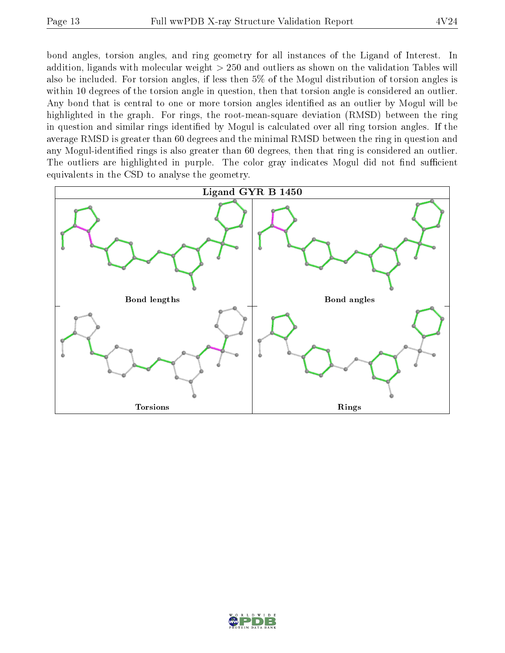bond angles, torsion angles, and ring geometry for all instances of the Ligand of Interest. In addition, ligands with molecular weight > 250 and outliers as shown on the validation Tables will also be included. For torsion angles, if less then 5% of the Mogul distribution of torsion angles is within 10 degrees of the torsion angle in question, then that torsion angle is considered an outlier. Any bond that is central to one or more torsion angles identified as an outlier by Mogul will be highlighted in the graph. For rings, the root-mean-square deviation (RMSD) between the ring in question and similar rings identified by Mogul is calculated over all ring torsion angles. If the average RMSD is greater than 60 degrees and the minimal RMSD between the ring in question and any Mogul-identified rings is also greater than 60 degrees, then that ring is considered an outlier. The outliers are highlighted in purple. The color gray indicates Mogul did not find sufficient equivalents in the CSD to analyse the geometry.



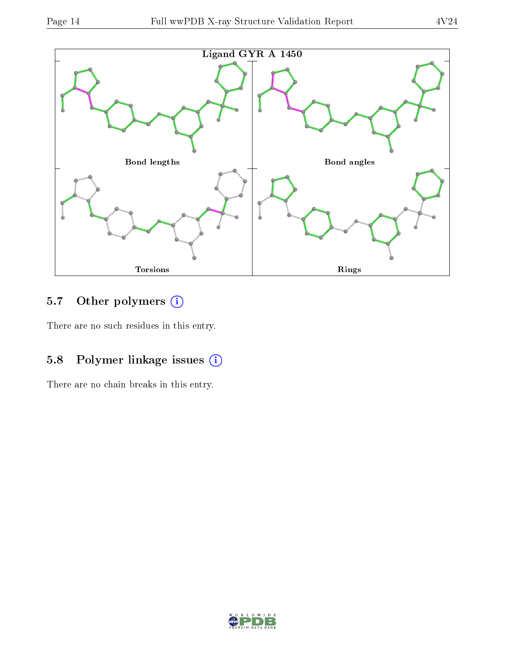

## 5.7 [O](https://www.wwpdb.org/validation/2017/XrayValidationReportHelp#nonstandard_residues_and_ligands)ther polymers (i)

There are no such residues in this entry.

## 5.8 Polymer linkage issues (i)

There are no chain breaks in this entry.

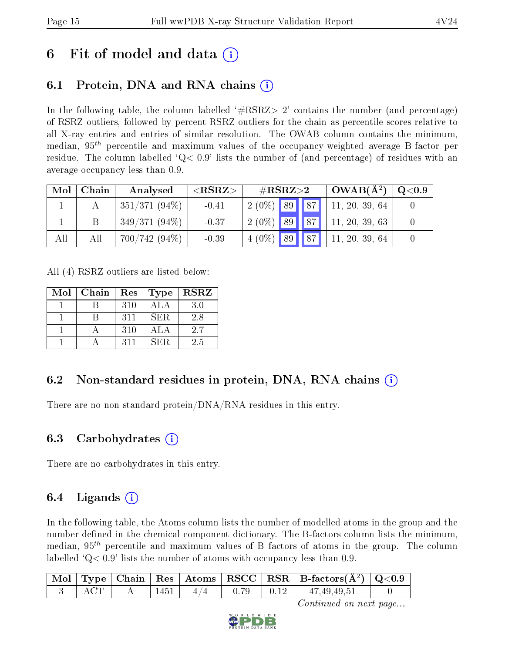# 6 Fit of model and data  $\left( \cdot \right)$

## 6.1 Protein, DNA and RNA chains (i)

In the following table, the column labelled  $#RSRZ>2'$  contains the number (and percentage) of RSRZ outliers, followed by percent RSRZ outliers for the chain as percentile scores relative to all X-ray entries and entries of similar resolution. The OWAB column contains the minimum, median,  $95<sup>th</sup>$  percentile and maximum values of the occupancy-weighted average B-factor per residue. The column labelled  $Q < 0.9$  lists the number of (and percentage) of residues with an average occupancy less than 0.9.

| Mol | Chain | Analysed        | ${ <\hspace{-1.5pt}{\mathrm{RSRZ}} \hspace{-1.5pt}>}$ | $\#\text{RSRZ}{>}2$ |  | $\vert$ OWAB( $\rm A^2)$ ) | $\rm Q\textcolor{black}{<}0.9$ |
|-----|-------|-----------------|-------------------------------------------------------|---------------------|--|----------------------------|--------------------------------|
|     |       | $351/371(94\%)$ | $-0.41$                                               | $2(0\%)$ 89 87      |  | 11, 20, 39, 64             |                                |
|     |       | $349/371(94\%)$ | $-0.37$                                               | $2(0\%)$ 89 87      |  | 11, 20, 39, 63             |                                |
| All | All   | $700/742(94\%)$ | $-0.39$                                               | $4(0\%)$ 89 87      |  | 11, 20, 39, 64             |                                |

All (4) RSRZ outliers are listed below:

| Mol | Chain | ${\mathop{\mathrm{Res}}\nolimits}$ | Type       | <b>RSRZ</b> |
|-----|-------|------------------------------------|------------|-------------|
|     |       | 310                                | ALA        | 3.0         |
|     |       | 311                                | <b>SER</b> | 2.8         |
|     |       | 310                                | ALA        | 2.7         |
|     |       | 311                                | SER.       | 2.5         |

## 6.2 Non-standard residues in protein, DNA, RNA chains (i)

There are no non-standard protein/DNA/RNA residues in this entry.

### 6.3 Carbohydrates (i)

There are no carbohydrates in this entry.

## $6.4$  Ligands  $(i)$

In the following table, the Atoms column lists the number of modelled atoms in the group and the number defined in the chemical component dictionary. The B-factors column lists the minimum, median,  $95<sup>th</sup>$  percentile and maximum values of B factors of atoms in the group. The column labelled  $Q< 0.9$  lists the number of atoms with occupancy less than 0.9.

|        |  |  | $\mid$ Mol $\mid$ Type $\mid$ Chain $\mid$ Res $\mid$ Atoms $\mid$ RSCC $\mid$ RSR $\mid$ B-factors(Å <sup>2</sup> ) $\mid$ Q<0.9 |  |
|--------|--|--|-----------------------------------------------------------------------------------------------------------------------------------|--|
| $ACT-$ |  |  | $1451$   $4/4$   0.79   0.12   $47,49,49,51$                                                                                      |  |

Continued on next page...

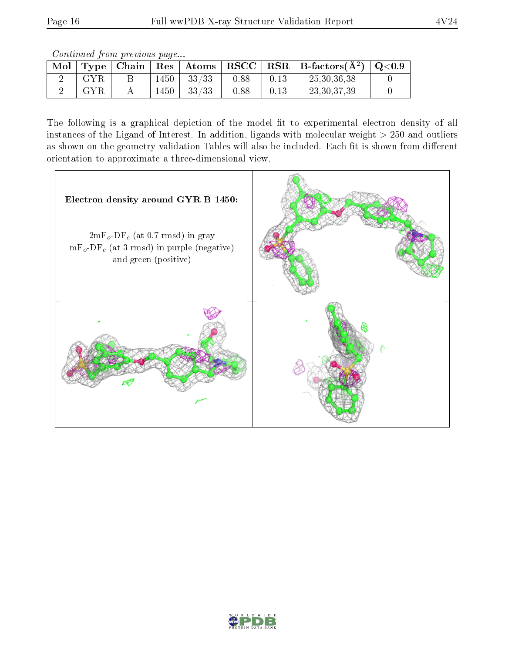Continued from previous page...

| Mol |     |      |          |      | $\perp$ Type   Chain   Res   Atoms   RSCC   RSR   B-factors( $\rm \AA^2)$   Q<0.9 |  |
|-----|-----|------|----------|------|-----------------------------------------------------------------------------------|--|
|     | GYR | 1450 | $-33/33$ | 0.88 | 25, 30, 36, 38                                                                    |  |
|     | GYR | 1450 | 33/33    | 0.88 | 23, 30, 37, 39                                                                    |  |

The following is a graphical depiction of the model fit to experimental electron density of all instances of the Ligand of Interest. In addition, ligands with molecular weight  $> 250$  and outliers as shown on the geometry validation Tables will also be included. Each fit is shown from different orientation to approximate a three-dimensional view.